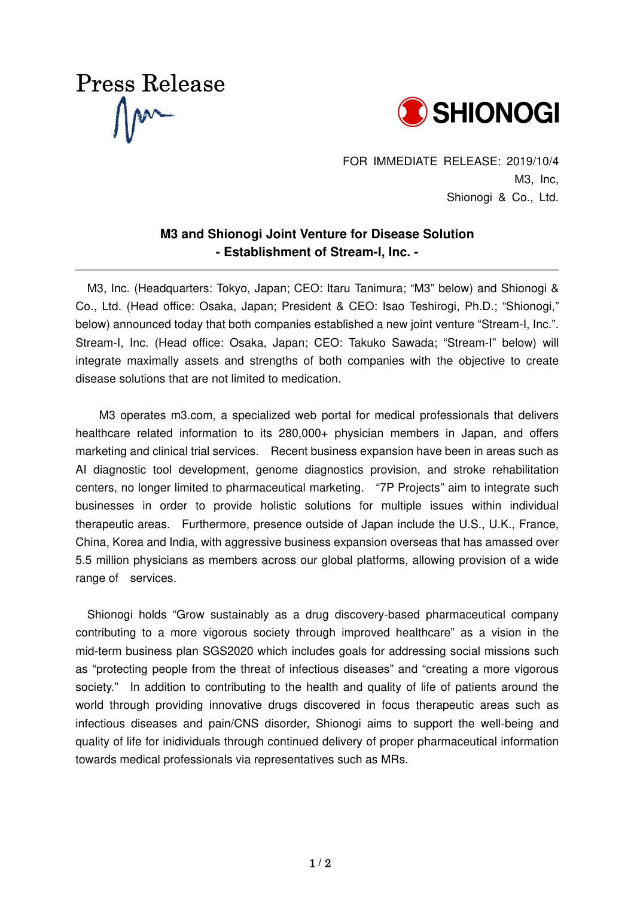



FOR IMMEDIATE RELEASE: 2019/10/4 M3, Inc, Shionogi & Co., Ltd.

## **M3 and Shionogi Joint Venture for Disease Solution - Establishment of Stream-I, Inc. -**

M3, Inc. (Headquarters: Tokyo, Japan; CEO: Itaru Tanimura; "M3" below) and Shionogi & Co., Ltd. (Head office: Osaka, Japan; President & CEO: Isao Teshirogi, Ph.D.; "Shionogi," below) announced today that both companies established a new joint venture "Stream-I, Inc.". Stream-I, Inc. (Head office: Osaka, Japan; CEO: Takuko Sawada; "Stream-I" below) will integrate maximally assets and strengths of both companies with the objective to create disease solutions that are not limited to medication.

M3 operates m3.com, a specialized web portal for medical professionals that delivers healthcare related information to its 280,000+ physician members in Japan, and offers marketing and clinical trial services. Recent business expansion have been in areas such as AI diagnostic tool development, genome diagnostics provision, and stroke rehabilitation centers, no longer limited to pharmaceutical marketing. "7P Projects" aim to integrate such businesses in order to provide holistic solutions for multiple issues within individual therapeutic areas. Furthermore, presence outside of Japan include the U.S., U.K., France, China, Korea and India, with aggressive business expansion overseas that has amassed over 5.5 million physicians as members across our global platforms, allowing provision of a wide range of services.

Shionogi holds "Grow sustainably as a drug discovery-based pharmaceutical company contributing to a more vigorous society through improved healthcare" as a vision in the mid-term business plan SGS2020 which includes goals for addressing social missions such as "protecting people from the threat of infectious diseases" and "creating a more vigorous society." In addition to contributing to the health and quality of life of patients around the world through providing innovative drugs discovered in focus therapeutic areas such as infectious diseases and pain/CNS disorder, Shionogi aims to support the well-being and quality of life for inidividuals through continued delivery of proper pharmaceutical information towards medical professionals via representatives such as MRs.